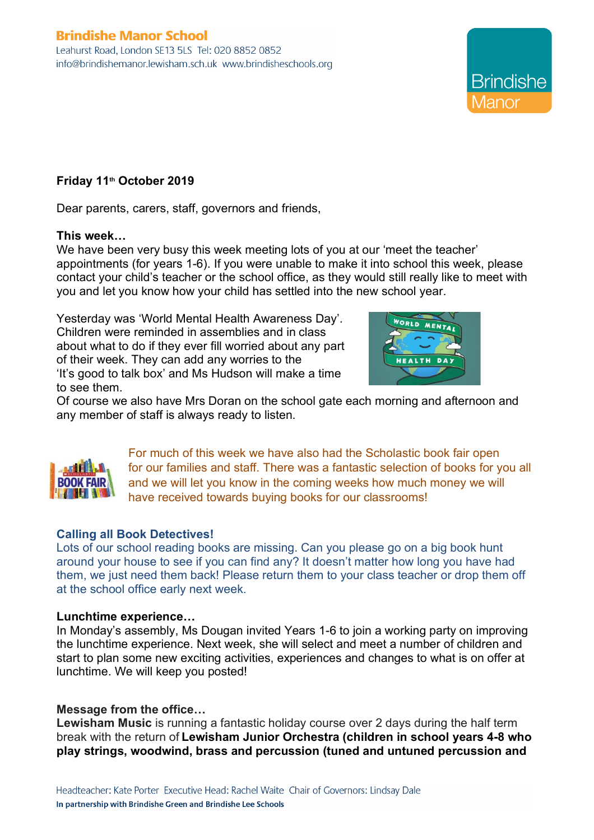# **Brindishe Manor School**

Leahurst Road, London SE13 5LS Tel: 020 8852 0852 info@brindishemanor.lewisham.sch.uk www.brindisheschools.org

## **Friday 11th October 2019**

Dear parents, carers, staff, governors and friends,

#### **This week…**

We have been very busy this week meeting lots of you at our 'meet the teacher' appointments (for years 1-6). If you were unable to make it into school this week, please contact your child's teacher or the school office, as they would still really like to meet with you and let you know how your child has settled into the new school year.

Yesterday was 'World Mental Health Awareness Day'. Children were reminded in assemblies and in class about what to do if they ever fill worried about any part of their week. They can add any worries to the 'It's good to talk box' and Ms Hudson will make a time to see them.



**Brindishe** 

Of course we also have Mrs Doran on the school gate each morning and afternoon and any member of staff is always ready to listen.



For much of this week we have also had the Scholastic book fair open for our families and staff. There was a fantastic selection of books for you all and we will let you know in the coming weeks how much money we will have received towards buying books for our classrooms!

## **Calling all Book Detectives!**

Lots of our school reading books are missing. Can you please go on a big book hunt around your house to see if you can find any? It doesn't matter how long you have had them, we just need them back! Please return them to your class teacher or drop them off at the school office early next week.

#### **Lunchtime experience…**

In Monday's assembly, Ms Dougan invited Years 1-6 to join a working party on improving the lunchtime experience. Next week, she will select and meet a number of children and start to plan some new exciting activities, experiences and changes to what is on offer at lunchtime. We will keep you posted!

## **Message from the office…**

**Lewisham Music** is running a fantastic holiday course over 2 days during the half term break with the return of **Lewisham Junior Orchestra (children in school years 4-8 who play strings, woodwind, brass and percussion (tuned and untuned percussion and**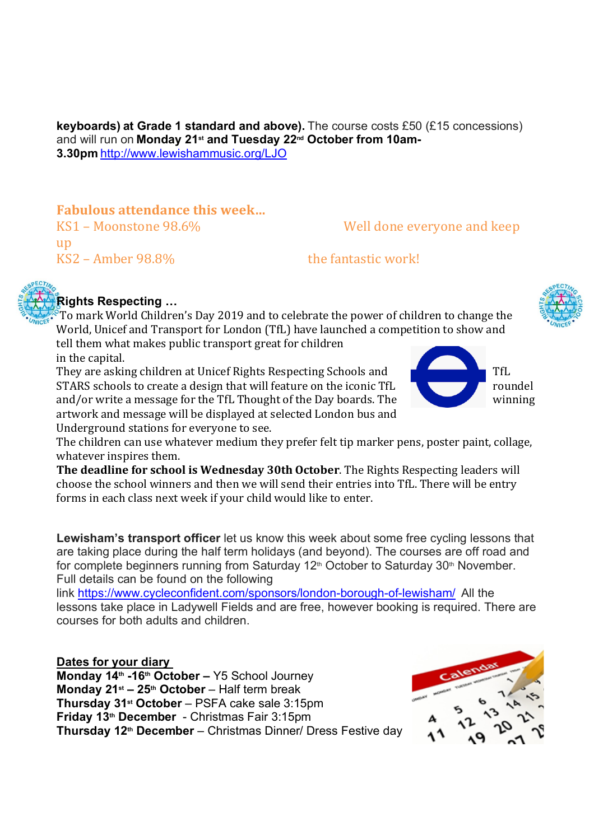**keyboards) at Grade 1 standard and above).** The course costs £50 (£15 concessions) and will run on **Monday 21st and Tuesday 22nd October from 10am-3.30pm**http://www.lewishammusic.org/LJO

## **Fabulous attendance this week...**

up  $\text{KS2 - Amber 98.8\%}$  the fantastic work!

# KS1 – Moonstone 98.6% Well done everyone and keep

## **Rights Respecting …**

To mark World Children's Day 2019 and to celebrate the power of children to change the World, Unicef and Transport for London (TfL) have launched a competition to show and tell them what makes public transport great for children

in the capital.

They are asking children at Unicef Rights Respecting Schools and  $\Box$  TfL STARS schools to create a design that will feature on the iconic  $TfL$ and/or write a message for the TfL Thought of the Day boards. The winning artwork and message will be displayed at selected London bus and Underground stations for everyone to see.

The children can use whatever medium they prefer felt tip marker pens, poster paint, collage, whatever inspires them.

**The deadline for school is Wednesday 30th October**. The Rights Respecting leaders will choose the school winners and then we will send their entries into TfL. There will be entry forms in each class next week if your child would like to enter.

**Lewisham's transport officer** let us know this week about some free cycling lessons that are taking place during the half term holidays (and beyond). The courses are off road and for complete beginners running from Saturday 12<sup>th</sup> October to Saturday 30<sup>th</sup> November. Full details can be found on the following

link https://www.cycleconfident.com/sponsors/london-borough-of-lewisham/  All the lessons take place in Ladywell Fields and are free, however booking is required. There are courses for both adults and children.

## **Dates for your diary**

**Monday 14th -16th October –** Y5 School Journey **Monday 21st – 25th October** – Half term break **Thursday 31st October** – PSFA cake sale 3:15pm **Friday 13th December** - Christmas Fair 3:15pm **Thursday 12th December** – Christmas Dinner/ Dress Festive day





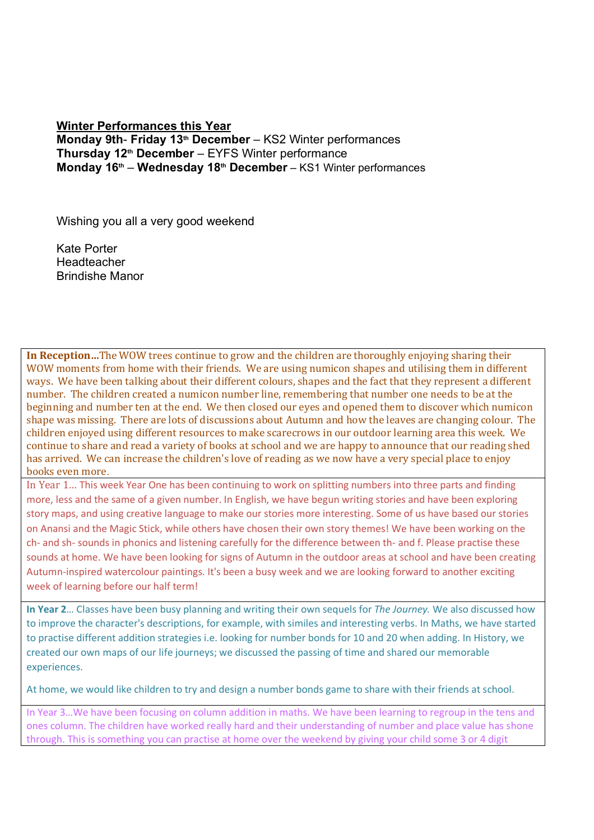## **Winter Performances this Year Monday 9th**- **Friday 13th December** – KS2 Winter performances **Thursday 12th December** – EYFS Winter performance **Monday 16th** – **Wednesday 18th December** – KS1 Winter performances

Wishing you all a very good weekend

Kate Porter **Headteacher** Brindishe Manor

**In Reception…** The WOW trees continue to grow and the children are thoroughly enjoying sharing their WOW moments from home with their friends. We are using numicon shapes and utilising them in different ways. We have been talking about their different colours, shapes and the fact that they represent a different number. The children created a numicon number line, remembering that number one needs to be at the beginning and number ten at the end. We then closed our eyes and opened them to discover which numicon shape was missing. There are lots of discussions about Autumn and how the leaves are changing colour. The children enjoyed using different resources to make scarecrows in our outdoor learning area this week. We continue to share and read a variety of books at school and we are happy to announce that our reading shed has arrived. We can increase the children's love of reading as we now have a very special place to enjoy books even more.

In Year 1... This week Year One has been continuing to work on splitting numbers into three parts and finding more, less and the same of a given number. In English, we have begun writing stories and have been exploring story maps, and using creative language to make our stories more interesting. Some of us have based our stories on Anansi and the Magic Stick, while others have chosen their own story themes! We have been working on the ch- and sh- sounds in phonics and listening carefully for the difference between th- and f. Please practise these sounds at home. We have been looking for signs of Autumn in the outdoor areas at school and have been creating Autumn-inspired watercolour paintings. It's been a busy week and we are looking forward to another exciting week of learning before our half term!

**In Year 2**… Classes have been busy planning and writing their own sequels for *The Journey.* We also discussed how to improve the character's descriptions, for example, with similes and interesting verbs. In Maths, we have started to practise different addition strategies i.e. looking for number bonds for 10 and 20 when adding. In History, we created our own maps of our life journeys; we discussed the passing of time and shared our memorable experiences.

At home, we would like children to try and design a number bonds game to share with their friends at school.

In Year 3…We have been focusing on column addition in maths. We have been learning to regroup in the tens and ones column. The children have worked really hard and their understanding of number and place value has shone through. This is something you can practise at home over the weekend by giving your child some 3 or 4 digit